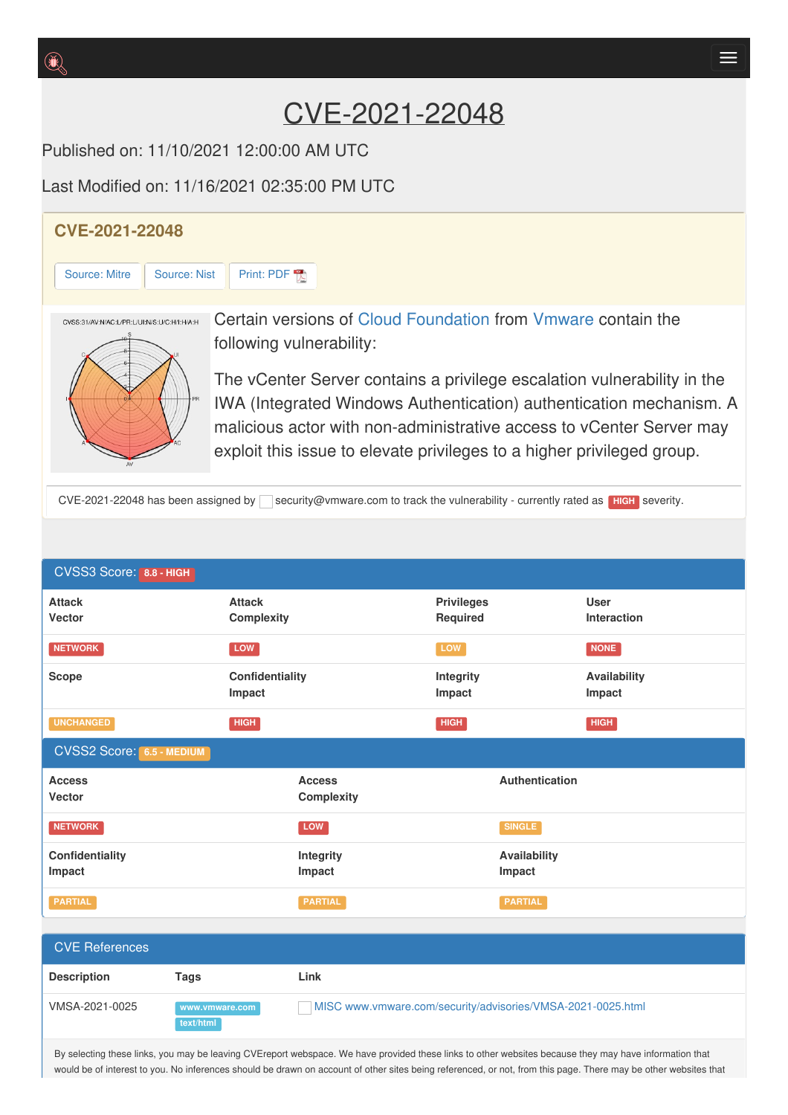# CVE-2021-22048

Published on: 11/10/2021 12:00:00 AM UTC

Last Modified on: 11/16/2021 02:35:00 PM UTC

## **CVE-2021-22048**

[Source:](https://cve.report/CVE-2021-22048/nist) Mitre | Source: Nist | [Print:](https://cve.report/CVE-2021-22048.pdf) PDF



Certain versions of Cloud [Foundation](http://cve.report/software/vmware/cloud_foundation) from [Vmware](http://cve.report/vendor/vmware) contain the following vulnerability:

The vCenter Server contains a privilege escalation vulnerability in the IWA (Integrated Windows Authentication) authentication mechanism. A malicious actor with non-administrative access to vCenter Server may exploit this issue to elevate privileges to a higher privileged group.

CVE-2021-22048 has been assigned by security@vmware.com to track the vulnerability - currently rated as **HIGH** severity.

| CVSS3 Score: 8.8 - HIGH           |                                    |                                                             |                               |                        |                            |
|-----------------------------------|------------------------------------|-------------------------------------------------------------|-------------------------------|------------------------|----------------------------|
| <b>Attack</b><br>Vector           | <b>Attack</b><br><b>Complexity</b> |                                                             | <b>Privileges</b><br>Required |                        | <b>User</b><br>Interaction |
| <b>NETWORK</b>                    | LOW                                |                                                             | LOW                           |                        | <b>NONE</b>                |
| <b>Scope</b>                      | Confidentiality<br>Impact          |                                                             | Integrity<br>Impact           |                        | Availability<br>Impact     |
| <b>UNCHANGED</b>                  | <b>HIGH</b>                        |                                                             | HIGH                          |                        | <b>HIGH</b>                |
| <b>CVSS2 Score: 6.5 - MEDIUM</b>  |                                    |                                                             |                               |                        |                            |
| <b>Access</b><br>Vector           |                                    | <b>Access</b><br><b>Complexity</b>                          | Authentication                |                        |                            |
| <b>NETWORK</b>                    |                                    | LOW                                                         |                               | <b>SINGLE</b>          |                            |
| Confidentiality<br>Impact         |                                    | Integrity<br>Impact                                         |                               | Availability<br>Impact |                            |
| <b>PARTIAL</b>                    |                                    | <b>PARTIAL</b>                                              |                               | <b>PARTIAL</b>         |                            |
|                                   |                                    |                                                             |                               |                        |                            |
| <b>CVE References</b>             |                                    |                                                             |                               |                        |                            |
| <b>Description</b><br><b>Tags</b> |                                    | Link                                                        |                               |                        |                            |
| VMSA-2021-0025<br>text/html       | www.vmware.com                     | MISC www.vmware.com/security/advisories/VMSA-2021-0025.html |                               |                        |                            |

By selecting these links, you may be leaving CVEreport webspace. We have provided these links to other websites because they may have information that would be of interest to you. No inferences should be drawn on account of other sites being referenced, or not, from this page. There may be other websites that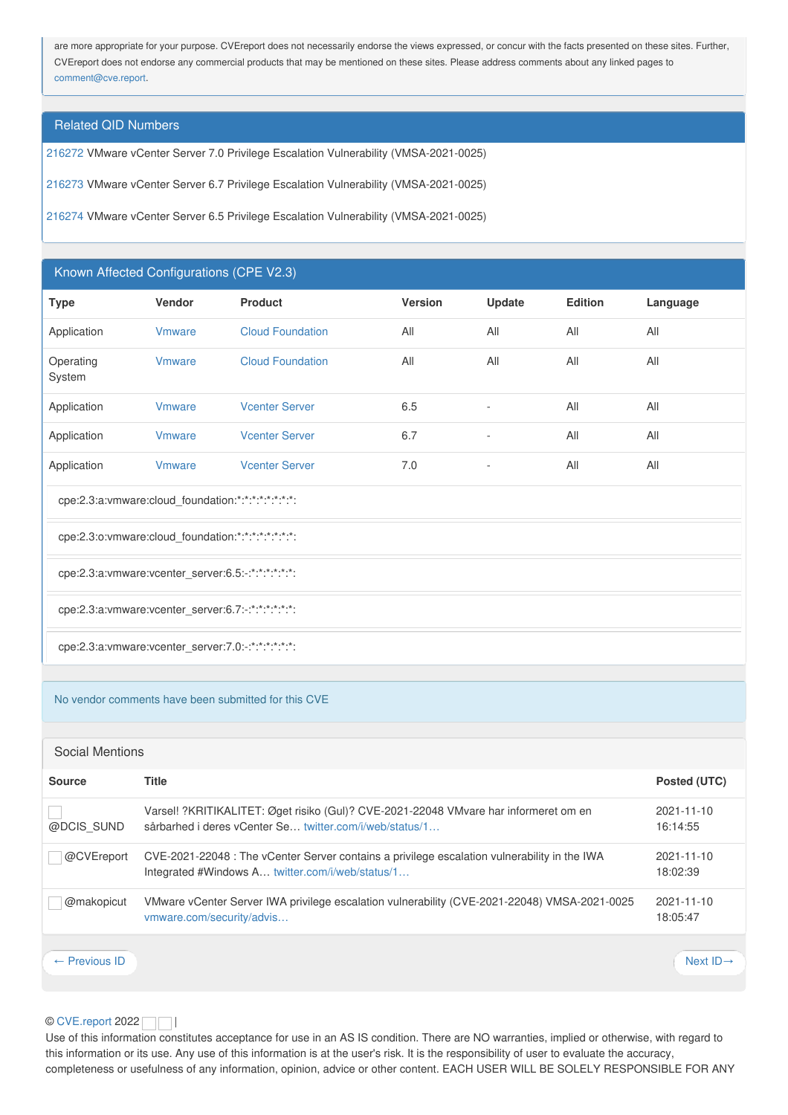are more appropriate for your purpose. CVEreport does not necessarily endorse the views expressed, or concur with the facts presented on these sites. Further, CVEreport does not endorse any commercial products that may be mentioned on these sites. Please address comments about any linked pages to [comment@cve.report](mailto:%20comment@cve.report).

## Related QID Numbers

[216272](http://cve.report/qid/216272) VMware vCenter Server 7.0 Privilege Escalation Vulnerability (VMSA-2021-0025)

[216273](http://cve.report/qid/216273) VMware vCenter Server 6.7 Privilege Escalation Vulnerability (VMSA-2021-0025)

[216274](http://cve.report/qid/216274) VMware vCenter Server 6.5 Privilege Escalation Vulnerability (VMSA-2021-0025)

## Known Affected Configurations (CPE V2.3)

| <b>Type</b>                                                     | Vendor         | <b>Product</b>          | <b>Version</b> | Update                   | <b>Edition</b> | Language |  |  |
|-----------------------------------------------------------------|----------------|-------------------------|----------------|--------------------------|----------------|----------|--|--|
| Application                                                     | <b>V</b> mware | <b>Cloud Foundation</b> | All            | All                      | All            | All      |  |  |
| Operating<br>System                                             | <b>V</b> mware | <b>Cloud Foundation</b> | All            | All                      | All            | All      |  |  |
| Application                                                     | <b>V</b> mware | <b>Vcenter Server</b>   | 6.5            | $\overline{\phantom{a}}$ | All            | All      |  |  |
| Application                                                     | <b>V</b> mware | <b>Vcenter Server</b>   | 6.7            | $\overline{\phantom{a}}$ | All            | All      |  |  |
| Application                                                     | <b>V</b> mware | <b>Vcenter Server</b>   | 7.0            | $\overline{\phantom{a}}$ | All            | All      |  |  |
| cpe:2.3:a:vmware:cloud_foundation:*:*:*:*:*:*:*:*:              |                |                         |                |                          |                |          |  |  |
| cpe:2.3:o: vmware: cloud foundation: *: *: *: *: *: *: *: *: *: |                |                         |                |                          |                |          |  |  |

cpe:2.3:a:vmware:vcenter\_server:6.5:-:\*:\*:\*:\*:\*:\*:

cpe:2.3:a:vmware:vcenter\_server:6.7:-:\*:\*:\*:\*:\*:\*:

cpe:2.3:a:vmware:vcenter\_server:7.0:-:\*:\*:\*:\*:\*:\*:

#### No vendor comments have been submitted for this CVE

## Social Mentions

| <b>Source</b>            | <b>Title</b>                                                                                                                                     | Posted (UTC)           |
|--------------------------|--------------------------------------------------------------------------------------------------------------------------------------------------|------------------------|
| @DCIS SUND               | Varsel! ?KRITIKALITET: Øget risiko (Gul)? CVE-2021-22048 VMvare har informeret om en<br>sårbarhed i deres vCenter Se twitter.com/i/web/status/1  | 2021-11-10<br>16:14:55 |
| @CVEreport               | CVE-2021-22048 : The vCenter Server contains a privilege escalation vulnerability in the IWA<br>Integrated #Windows A twitter.com/i/web/status/1 | 2021-11-10<br>18:02:39 |
| @makopicut               | VMware vCenter Server IWA privilege escalation vulnerability (CVE-2021-22048) VMSA-2021-0025<br>vmware.com/security/advis                        | 2021-11-10<br>18:05:47 |
| $\leftarrow$ Previous ID |                                                                                                                                                  | Next $ID \rightarrow$  |

## © [CVE.report](https://cve.report/) 2022 | |

Use of this information constitutes acceptance for use in an AS IS condition. There are NO warranties, implied or otherwise, with regard to this information or its use. Any use of this information is at the user's risk. It is the responsibility of user to evaluate the accuracy, completeness or usefulness of any information, opinion, advice or other content. EACH USER WILL BE SOLELY RESPONSIBLE FOR ANY